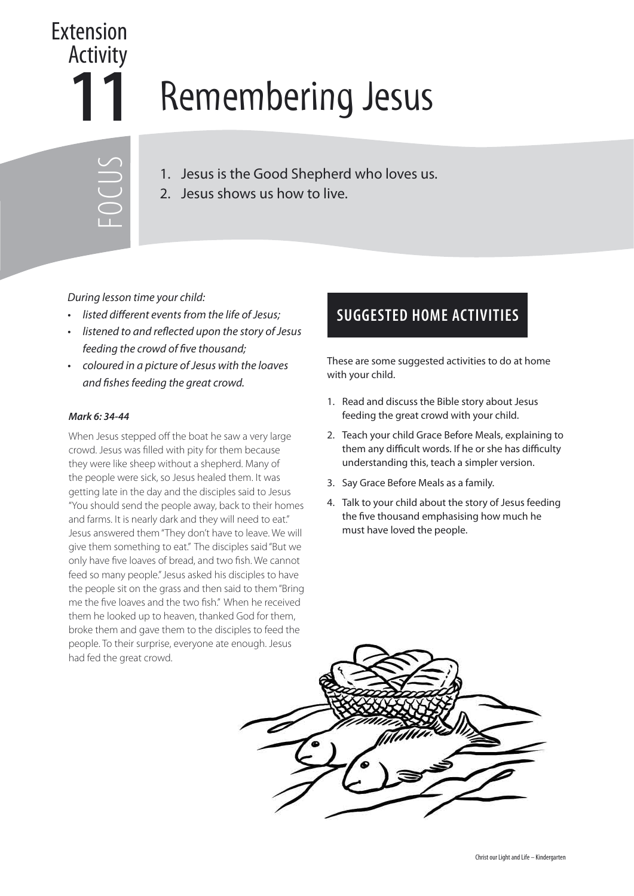## **11** Remembering Jesus Extension Activity

1. Jesus is the Good Shepherd who loves us.

2. Jesus shows us how to live.

During lesson time your child:

FOCUS

- listed different events from the life of Jesus;
- listened to and reflected upon the story of Jesus feeding the crowd of five thousand;
- coloured in a picture of Jesus with the loaves and fishes feeding the great crowd.

## **Mark 6: 34-44**

When Jesus stepped off the boat he saw a very large crowd. Jesus was filled with pity for them because they were like sheep without a shepherd. Many of the people were sick, so Jesus healed them. It was getting late in the day and the disciples said to Jesus "You should send the people away, back to their homes and farms. It is nearly dark and they will need to eat." Jesus answered them "They don't have to leave. We will give them something to eat." The disciples said "But we only have five loaves of bread, and two fish. We cannot feed so many people." Jesus asked his disciples to have the people sit on the grass and then said to them "Bring me the five loaves and the two fish." When he received them he looked up to heaven, thanked God for them, broke them and gave them to the disciples to feed the people. To their surprise, everyone ate enough. Jesus had fed the great crowd.

## **SUGGESTED HOME ACTIVITIES**

These are some suggested activities to do at home with your child.

- 1. Read and discuss the Bible story about Jesus feeding the great crowd with your child.
- 2. Teach your child Grace Before Meals, explaining to them any difficult words. If he or she has difficulty understanding this, teach a simpler version.
- 3. Say Grace Before Meals as a family.
- 4. Talk to your child about the story of Jesus feeding the five thousand emphasising how much he must have loved the people.